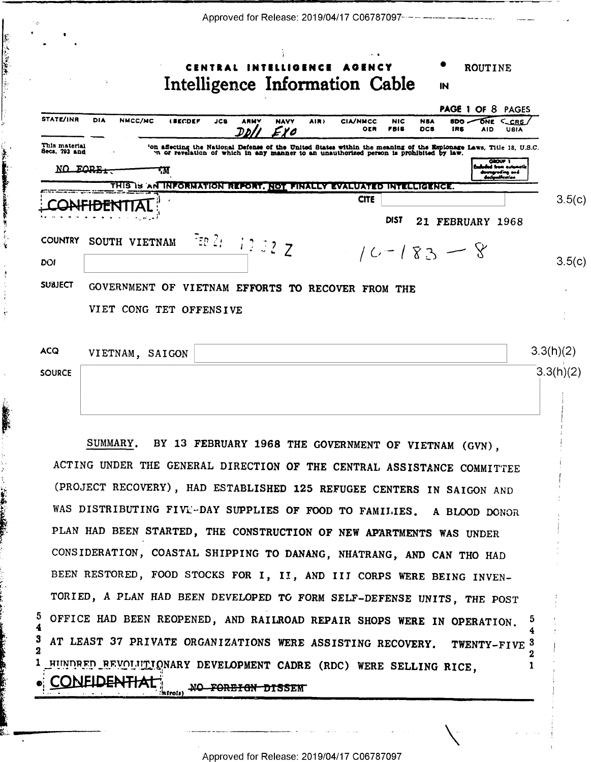|                                | Approved for Release: 2019/04/17 C06787097-----------------------------<br>ROUTINE                                                                                                                                                                                                                 |        |
|--------------------------------|----------------------------------------------------------------------------------------------------------------------------------------------------------------------------------------------------------------------------------------------------------------------------------------------------|--------|
|                                | Intelligence Information Cable<br>IN                                                                                                                                                                                                                                                               |        |
| STATE/INR                      | <b>PAGE 1 OF 8 PAGES</b><br><b>DIA</b><br>NMCC/MC<br>CCRS<br><b><i>LEECDEF</i></b><br><b>NAVY</b><br>Оме<br>JCB<br>AIR)<br><b>CIA/NMCC</b><br>NIC<br><b>NBA</b><br>8DO<br>OER<br><b>FBIS</b><br><b>DCS</b><br><b>IRS</b><br><b>AID</b><br>USIA<br>EYO                                              |        |
| This material<br>Secs. 793 and | 'on affecting the National Defense of the United States within the meaning of the Esplonage Laws, Title 18, U.S.C.<br>'n or revelation of which in any manner to an unauthorized person is prohibited by law.<br><b>OBOUP T</b><br>al frem motor<br>NO FORE.<br>٠м<br>proding and<br>مماضعاتهمأعمة |        |
|                                | THIS IS AN INFORMATION REPORT. NOT FINALLY EVALUATED INTELLIGENCE.<br><b>CITE</b><br>DIST<br>21 FEBRUARY 1968                                                                                                                                                                                      | 3.5(c) |
| <b>COUNTRY</b><br>DOI          | FEB 21 12 32 Z<br>SOUTH VIETNAM<br>$10 - 183 - 8$                                                                                                                                                                                                                                                  | 3.5(c) |
| <b>SUBJECT</b>                 | GOVERNMENT OF VIETNAM EFFORTS TO RECOVER FROM THE<br>VIET CONG TET OFFENSIVE                                                                                                                                                                                                                       |        |
| ACQ<br><b>SOURCE</b>           | 3.3(h)(2)<br>VIETNAM, SAIGON<br>3.3(h)(2)                                                                                                                                                                                                                                                          |        |
|                                | SUMMARY. BY 13 FEBRUARY 1968 THE GOVERNMENT OF VIETNAM (GVN),<br>ACTING UNDER THE GENERAL DIRECTION OF THE CENTRAL ASSISTANCE COMMITTEE<br>(PROJECT RECOVERY), HAD ESTABLISHED 125 REFUGEE CENTERS IN SAIGON AND<br>WAS DISTRIBUTING FIVE-DAY SUPPLIES OF FOOD TO FAMILIES. A BLOOD DONOR          |        |

一、子供 まいこう いち

**大学 人名英格兰人姓氏麦克里克的变体地名美国埃尔兰人名英格兰人姓氏** 

÷

Ĵ.

美美

il.

PLAN HAD BEEN STARTED, THE CONSTRUCTION OF NEW APARTMENTS WAS UNDER CONSIDERATION, COASTAL SHIPPING TO DANANG, NHATRANG, AND CAN THO HAD BEEN RESTORED, FOOD STOCKS FOR I, II, AND III CORPS WERE BEING INVEN-TORIED, A PLAN HAD BEEN DEVELOPED TO FORM SELF-DEFENSE UNITS, THE POST 5 OFFICE HAD BEEN REOPENED, AND RAILROAD REPAIR SHOPS WERE IN OPERATION. 4 AT LEAST 37 PRIVATE ORGANIZATIONS WERE ASSISTING RECOVERY.  $\boldsymbol{3}$ TWENTY-FIVE<sup>3</sup>  $\overline{\mathbf{2}}$  $\mathbf{2}$ HUNDRED BEVOLUTIONARY DEVELOPMENT CADRE (RDC) WERE SELLING RICE, 1 1 **CONFIDENTIAL** MO FOREIGN DISSENT

Approved for Release: 2019/04/17 C06787097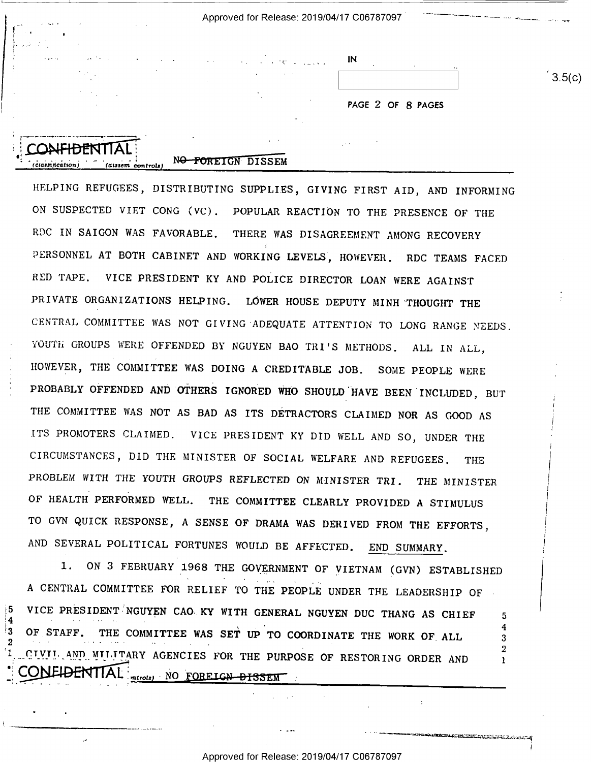| むしゃ しゅくりょく | IN | $\ddot{\phantom{a}}$ |
|------------|----|----------------------|
|            |    |                      |

 $3.5(c)$ 

I

PAGE 2 OF 8 PAGES

## CONFIDENT  $\frac{1}{\sqrt{1-\frac{1}{\sqrt{1-\frac{1}{\sqrt{1-\frac{1}{\sqrt{1-\frac{1}{\sqrt{1-\frac{1}{\sqrt{1-\frac{1}{\sqrt{1-\frac{1}{\sqrt{1-\frac{1}{\sqrt{1-\frac{1}{\sqrt{1-\frac{1}{\sqrt{1-\frac{1}{\sqrt{1-\frac{1}{\sqrt{1-\frac{1}{\sqrt{1-\frac{1}{\sqrt{1-\frac{1}{\sqrt{1-\frac{1}{\sqrt{1-\frac{1}{\sqrt{1-\frac{1}{\sqrt{1-\frac{1}{\sqrt{1-\frac{1}{\sqrt{1-\frac{1}{\sqrt{1-\frac{1}{\sqrt{1-\frac{1}{\sqrt{1-\frac{1$

 $^{\dagger}3$ 

2

4

## NO FOREIGN DISSEM

HELPING REFUGEES, DISTRIBUTING SUPPLIES, GIVING FIRST AID, AND INFORMING ON SUSPECTED VIET CONG (VC). POPULAR REACTION TO THE PRESENCE OF THE RDC IN SAIGON WAS FAVORABLE. THERE WAS DISAGREEMENT AMONG RECOVERY PERSONNEL AT BOTH CABINET AND WORKING LEVELS, HOWEVER. RDC TEAMS FACED RED TAPE. VICE PRESIDENT KY AND POLICE DIRECTOR LOAN WERE AGAINST PRIVATE ORGANIZATIONS HELPING. LOWER HOUSE DEPUTY MINH THOUGHT THE CENTRAL COMMITTEE WAS NOT GIVING'ADEQUATE ATTENTION TO LONG RANGE NEEDS. YOUTH GROUPS WERE OFFENDED BY NGUYEN BAO TRI'S METHODS. ALL IN ALL, HOWEVER, THE COMMITTEE WAS DOING A CREDITABLE JOB. SOME PEOPLE WERE PROBABLY OFFENDED AND OTHERS IGNORED WHO SHOULD HAVE BEEN INCLUDED, BUT THE COMMITTEE WAS NOT AS BAD AS ITS DETRACTORS CLAIMED NOR AS GOOD AS ITS PROMOTERS CLAIMED. VICE PRESIDENT KY DID WELL AND SO, UNDER THE CIRCUMSTANCES, DID THE MINISTER OF SOCIAL WELFARE AND REFUGEES. THE PROBLEM WITH THE YOUTH GROUPS REFLECTED ON MINISTER TRI. THE MINISTER OF HEALTH PERFORMED WELL. THE COMMITTEE CLEARLY PROVIDED A STIMULUS TO GVN QUICK RESPONSE, A SENSE OF DRAMA WAS DERIVED FROM THE EFFORTS, AND SEVERAL POLITICAL FORTUNES WOULD BE AFFECTED. END SUMMARY.

1. ON 3 FEBRUARY 1968 THE GOVERNMENT OF VIETNAM (GVN) ESTABLISHED A CENTRAL COMMITTEE FOR RELIEF TO THE PEOPLE UNDER THE LEADERSHIP OF VICE PRESIDENT NGUYEN CAO KY WITH GENERAL NGUYEN DUC THANG AS CHIEF 5 OF STAFF. THE COMMITTEE WAS SET UP TO COORDINATE THE WORK OF ALL CIVIL AND MILITARY AGENCIES FOR THE PURPOSE OF RESTORING ORDER AND V-4  $\frac{m (cos) - N}{2}$  .  $\frac{m (cos) - N}{2}$  . Tunnels .  $\frac{m (cos) - N}{2}$ 

..-\_.\_.. \_

 $-$ 

\_\_---\_-4=a',;cln=:A4.:mEz&'r\_.z2..~""':::11;:4.¢;=;.r.a;'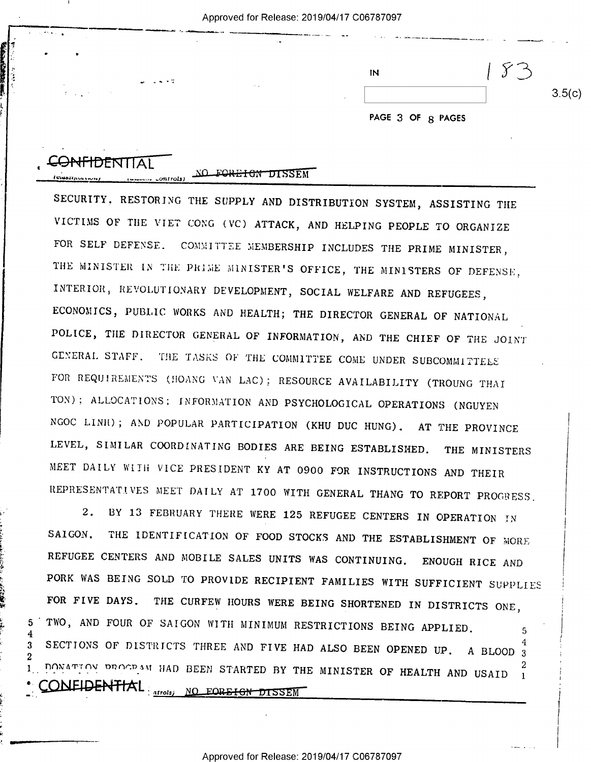| ΙN                       |        |
|--------------------------|--------|
|                          | 3.5(c) |
| <b>DACE 2 OF A BACCC</b> |        |

| CONFIDENTIAL |                   |
|--------------|-------------------|
|              | NO FOREIGN DISSEM |

 $5\phantom{.0}$ 

 $3<sup>1</sup>$ 2

SECURITY, RESTORING THE SUPPLY AND DISTRIBUTION SYSTEM, ASSISTING THE VICTIMS OF THE VIET CONG (VC) ATTACK, AND HELPING PEOPLE TO ORGANIZE FOR SELF DEFENSE. COMMITTEE MEMBERSHIP INCLUDES THE PRIME MINISTER, THE MINISTER IN THE PRIME MINISTER'S OFFICE, THE MINISTERS OF DEFENSE, INTERIOR, REVOLUTIONARY DEVELOPMENT, SOCIAL WELFARE AND REFUGEES, ECONOMICS, PUBLIC WORKS AND HEALTH; THE DIRECTOR GENERAL OF NATIONAL POLICE, THE DIRECTOR GENERAL OF INFORMATION, AND THE CHIEF OF THE JOINT GENERAL STAFF. THE TASKS OF THE COMMITTEE COME UNDER SUBCOMMITTEES FOR REQUIREMENTS (HOANG VAN LAC); RESOURCE AVAILABILITY (TROUNG THAI TON); ALLOCATIONS; INFORMATION AND PSYCHOLOGICAL OPERATIONS (NGUYEN NGOC LINH); AND POPULAR PARTICIPATION (KHU DUC HUNG). AT THE PROVINCE LEVEL, SIMILAR COORDINATING BODIES ARE BEING ESTABLISHED. THE MINISTERS MEET DAILY WITH VICE PRESIDENT KY AT 0900 FOR INSTRUCTIONS AND THEIR REPRESENTATIVES MEET DAILY AT 1700 WITH GENERAL THANG TO REPORT PROGRESS.

2. BY 13 FEBRUARY THERE WERE 125 REFUGEE CENTERS IN OPERATION IN THE IDENTIFICATION OF FOOD STOCKS AND THE ESTABLISHMENT OF MORE SAIGON. REFUGEE CENTERS AND MOBILE SALES UNITS WAS CONTINUING. ENOUGH RICE AND PORK WAS BEING SOLD TO PROVIDE RECIPIENT FAMILIES WITH SUFFICIENT SUPPLIES FOR FIVE DAYS. THE CURFEW HOURS WERE BEING SHORTENED IN DISTRICTS ONE, TWO, AND FOUR OF SAIGON WITH MINIMUM RESTRICTIONS BEING APPLIED.  $5\phantom{.0}$ SECTIONS OF DISTRICTS THREE AND FIVE HAD ALSO BEEN OPENED UP. A BLOOD 3 IAD BEEN STARTED BY THE MINISTER OF HEALTH AND USAID I CONEIDENTIAL <sub>atrols</sub>, <u>no forefon dissem</u>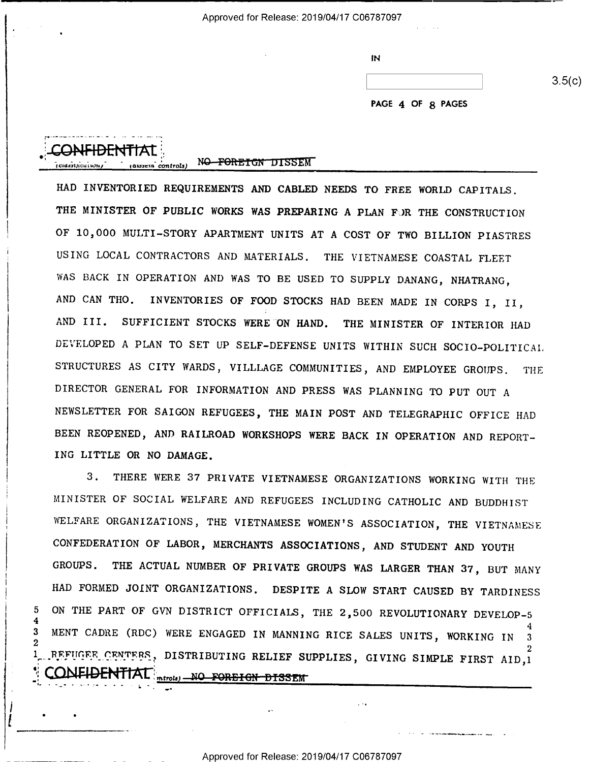Approved for Release: 2019/04/17 C06787097

| IN |        |
|----|--------|
|    | 3.5(c) |
|    |        |

PAGE 4 OF 8 PAGES

(assem controls) NO FOREIGN DISSEM

5  $\boldsymbol{4}$ 

3

HAD INVENTORIED REQUIREMENTS AND CABLED NEEDS TO FREE WORLD CAPITALS. THE MINISTER OF PUBLIC WORKS WAS PREPARING A PLAN FOR THE CONSTRUCTION OF 10,000 MULTI-STORY APARTMENT UNITS AT A COST OF TWO BILLION PIASTRES USING LOCAL CONTRACTORS AND MATERIALS. THE VIETNAMESE COASTAL FLEET WAS BACK IN OPERATION AND WAS TO BE USED TO SUPPLY DANANG, NHATRANG, AND CAN THO. INVENTORIES OF FOOD STOCKS HAD BEEN MADE IN CORPS I, II, SUFFICIENT STOCKS WERE ON HAND. THE MINISTER OF INTERIOR HAD AND III. DEVELOPED A PLAN TO SET UP SELF-DEFENSE UNITS WITHIN SUCH SOCIO-POLITICAL. STRUCTURES AS CITY WARDS, VILLLAGE COMMUNITIES, AND EMPLOYEE GROUPS. THE DIRECTOR GENERAL FOR INFORMATION AND PRESS WAS PLANNING TO PUT OUT A NEWSLETTER FOR SAIGON REFUGEES, THE MAIN POST AND TELEGRAPHIC OFFICE HAD BEEN REOPENED, AND RAILROAD WORKSHOPS WERE BACK IN OPERATION AND REPORT-ING LITTLE OR NO DAMAGE.

THERE WERE 37 PRIVATE VIETNAMESE ORGANIZATIONS WORKING WITH THE  $3<sub>1</sub>$ MINISTER OF SOCIAL WELFARE AND REFUGEES INCLUDING CATHOLIC AND BUDDHIST WELFARE ORGANIZATIONS, THE VIETNAMESE WOMEN'S ASSOCIATION, THE VIETNAMESE CONFEDERATION OF LABOR, MERCHANTS ASSOCIATIONS, AND STUDENT AND YOUTH THE ACTUAL NUMBER OF PRIVATE GROUPS WAS LARGER THAN 37, BUT MANY GROUPS. HAD FORMED JOINT ORGANIZATIONS. DESPITE A SLOW START CAUSED BY TARDINESS ON THE PART OF GVN DISTRICT OFFICIALS, THE 2,500 REVOLUTIONARY DEVELOP-5 MENT CADRE (RDC) WERE ENGAGED IN MANNING RICE SALES UNITS, WORKING IN REFUGEE CENTEES, DISTRIBUTING RELIEF SUPPLIES, GIVING SIMPLE FIRST AID,1 CONFIDENTIAL <sub>merola)</sub> NO FOREIGN DISSEM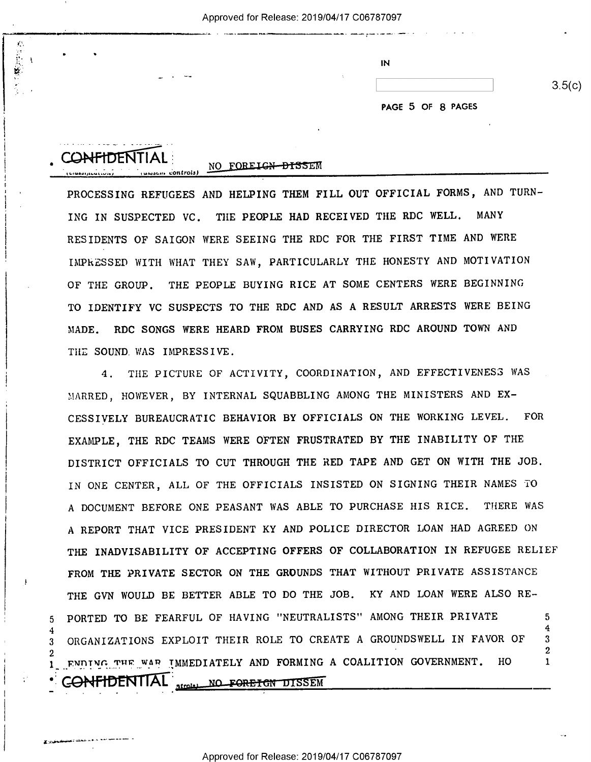| . . |                  | IN |  |
|-----|------------------|----|--|
|     | المحتبة المتعارض |    |  |
|     |                  |    |  |

 $3.5(c)$ 

PAGE 5 OF 8 PAGES

| <b>CONFIDENTIAL</b>                   |  |
|---------------------------------------|--|
|                                       |  |
| Junsen controls)<br>ししょほののりょうしいしょいりょう |  |

I

I

 $K$  ) ( ),  $\frac{1}{2}$  ),  $\frac{1}{2}$  ),  $\frac{1}{2}$  ),  $\frac{1}{2}$  ),  $\frac{1}{2}$  ,  $\frac{1}{2}$  ,  $\frac{1}{2}$  ,  $\frac{1}{2}$  ,  $\frac{1}{2}$  ,  $\frac{1}{2}$  ,  $\frac{1}{2}$  ,  $\frac{1}{2}$  ,  $\frac{1}{2}$  ,  $\frac{1}{2}$  ,  $\frac{1}{2}$  ,  $\frac{1}{2}$  ,  $\frac{1}{2}$  ,  $\$ 

## FOREIGN-DISSEM

.<br>Not**her and the state of the second contract of the state of the state of the state of the state of the state of the state of the state of the state of the state of the state of the state of the state of the state of the** 

PROCESSING REFUGEES AND HELPING THEM FILL OUT OFFICIAL FORMS, AND TURN-ING IN SUSPECTED VC. THE PEOPLE HAD RECEIVED THE RDC WELL. MANY RESIDENTS OF SAIGON WERE SEEING THE RDC FOR THE FIRST TIME AND WERE IMPRESSED WITH WHAT THEY SAW, PARTICULARLY THE HONESTY AND MOTIVATION OF THE GROUP. THE PEOPLE BUYING RICE AT SOME CENTERS WERE BEGINNING TO IDENTIFY VC SUSPECTS TO THE RDC AND AS A RESULT ARRESTS WERE BEING MADE. RDC SONGS WERE HEARD FROM BUSES CARRYING RDC AROUND TOWN AND THE SOUND WAS IMPRESSIVE.

4. THE PICTURE OF ACTIVITY, COORDINATION, AND EFFECTIVENESS WAS MARRED, HOWEVER, BY INTERNAL SQUABBLING AMONG THE MINISTERS AND EX-CESSIVELY BUREAUCRATIC BEHAVIOR BY OFFICIALS ON THE WORKING LEVEL. FOR EXAMPLE, THE RDC TEAMS WERE OFTEN FRUSTRATED BY THE INABILITY OF THE DISTRICT OFFICIALS TO CUT THROUGH THE RED TAPE AND GET ON WITH THE JOB. IN ONE CENTER, ALL OF THE OFFICIALS INSISTED ON SIGNING THEIR NAMES TO A DOCUMENT BEFORE ONE PEASANT WAS ABLE TO PURCHASE HIS RICE. THERE WAS A REPORT THAT VICE PRESIDENT KY AND POLICE DIRECTOR LOAN HAD AGREED ON THE INADVISABILITY OF ACCEPTING OFFERS OF COLLABORATION IN REFUGEE RELIEF FROM THE PRIVATE SECTOR ON THE GROUNDS THAT WITHOUT PRIVATE ASSISTANCE THE GVN WOULD BE BETTER ABLE TO DO THE JOB. KY AND LOAN WERE ALSO RE-PORTED TO BE FEARFUL OF HAVING "NEUTRALISTS" AMONG THEIR PRIVATE  $\overline{5}$ 3 ORGANIZATIONS EXPLOIT THEIR ROLE TO CREATE A GROUNDSWELL IN FAVOR OF  $3$  $\overline{2}$ ENDING THE WAR IMMEDIATELY AND FORMING A COALITION GOVERNMENT. HO  $\mathbf{1}$ **CONFIDENTIAL** Atrola) NO FORETGN DISSEM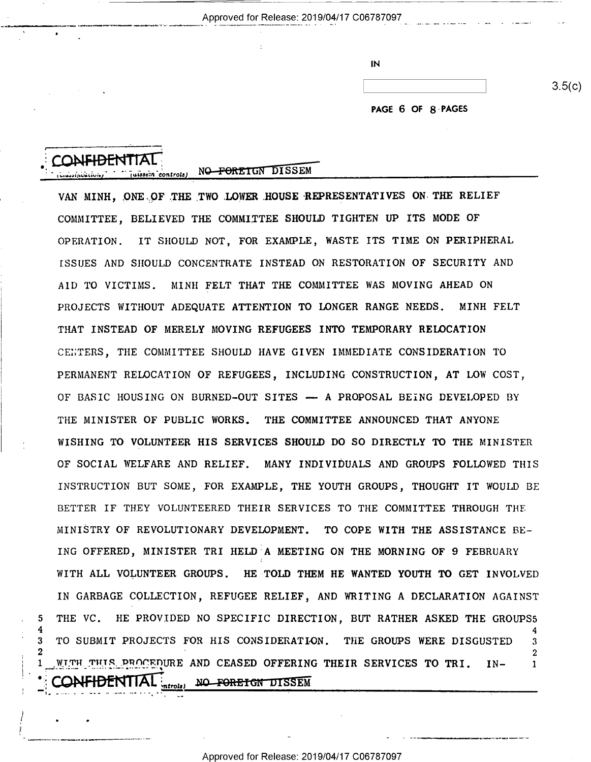| $\mathsf{IN}$ |  |  |
|---------------|--|--|
|               |  |  |
|               |  |  |

PAGE 6 OF 8 PAGES

 $3.5(c)$ 

r " " ' . .

'q1..»'.~|';-\.'Iuiui.("

'

5

3

Juissein controls) NO FORETGN DISSEM

VAN MINH, ONE OF THE TWO LOWER HOUSE REPRESENTATIVES ON THE RELIEF COMMITTEE, BELIEVED THE COMMITTEE SHOULD TIGHTEN UP ITS MODE OF OPERATION. IT SHOULD NOT, FOR EXAMPLE, WASTE ITS TIME ON PERIPHERAL ISSUES AND SHOULD CONCENTRATE INSTEAD ON RESTORATION OF SECURITY AND AID TO VICTIMS. MINH FELT THAT THE COMMITTEE WAS MOVING AHEAD ON PROJECTS WITHOUT ADEQUATE ATTENTION TO LONGER RANGE NEEDS. MINH FELT THAT INSTEAD OF MERELY MOVING REFUGEES INTO TEMPORARY RELOCATION CENTERS, THE COMMITTEE SHOULD HAVE GIVEN IMMEDIATE CONSIDERATION TO PERMANENT RELOCATION OF REFUGEES, INCLUDING CONSTRUCTION, AT LOW COST, OF BASIC HOUSING ON BURNED—OUT SITES —— A PROPOSAL BEING DEVELOPED BY THE MINISTER OF PUBLIC WORKS. THE COMMITTEE ANNOUNCED THAT ANYONE WISHING TO VOLUNTEER HIS SERVICES SHOULD DO SO DIRECTLY TO THE MINISTER OF SOCIAL WELFARE AND RELIEF. MANY INDIVIDUALS AND GROUPS FOLLOWED THIS INSTRUCTION BUT SOME, FOR EXAMPLE, THE YOUTH GROUPS, THOUGHT IT WOULD BE BETTER IF THEY VOLUNTEERED THEIR SERVICES TO THE COMMITTEE THROUGH THE MINISTRY OF REVOLUTIONARY DEVELOPMENT. TO COPE WITH THE ASSISTANCE BE-ING OFFERED, MINISTER TRI HELD A MEETING ON THE MORNING OF 9 FEBRUARY WITH ALL VOLUNTEER GROUPS. HE TOLD THEM HE WANTED YOUTH TO GET INVOLVED IN GARBAGE COLLECTION, REFUGEE RELIEF, AND WRITING A DECLARATION AGAINST THE VC. HE PROVIDED NO SPECIFIC DIRECTION, BUT RATHER ASKED THE GROUPS5 4 TO SUBMIT PROJECTS FOR HIS CONSIDERATION. THE GROUPS WERE DISGUSTED 3 WITH THIS PROCEDURE AND CEASED OFFERING THEIR SERVICES TO TRI. IN- $\mathbf{1}$ **AFIDENTIAL** *retrols* NO FORETON DISSEM

. \_\_\_\_\_\_\_\_\_ \_ \_\_ \_ - \_ \_ \_\_...\_.\_\_\_\_,\_-...\_\_-@..,-\_--..--\_--0...-\_\_..\_ ..\_.\_-.-.\_ .\_.\_--.\_.-.-C-..--...\_\_.\_-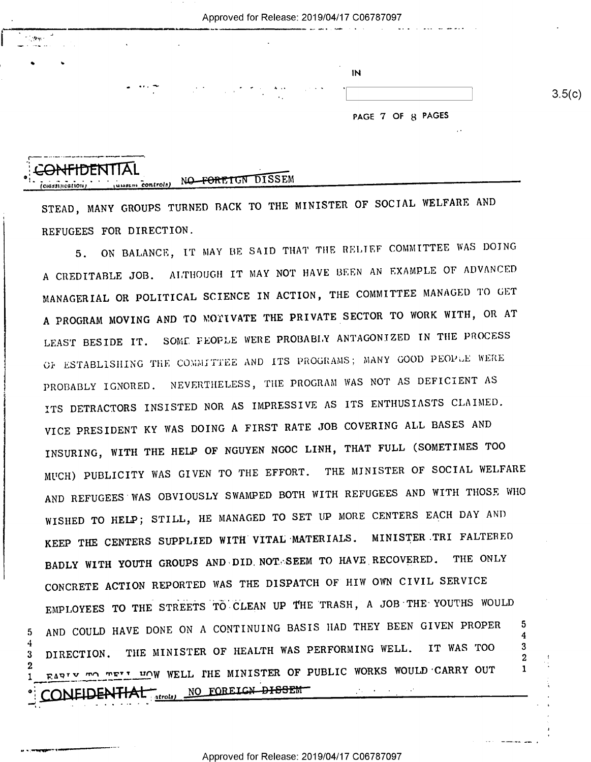J i >'"°- \*4 \_-\_\_.. -.. . . . .... . \_\_

 $\tilde{\mathcal{L}}_{\text{max}}$  , and the set of the properties of  $\mathcal{L}_{\text{max}}$ 

 $3.5(c)$ 

PAGE 7 OF 8 PAGES

## <del>:ONFIDENTIA</del> z¢.;.,;;,.z..;..;,'  $\cdots$ ,  $\cdots$  controls)

.\_, \_ .

- we

, Q 5

 $3$ 

5

u - <del>. o qqqga</del>n - can<del>al a ——————</del>——

;-—- ----- --—-.----—--.-------——-,

STEAD, MANY GROUPS TURNED BACK TO THE MINISTER OF SOCIAL WELFARE AND REFUGEES FOR DIRECTION.

5. ON BALANCE, IT MAY BE SAID THAT THE RELIEF COMMITTEE WAS DOING A CREDITABLE JOB. ALTHOUGH IT MAY NOT HAVE BEEN AN EXAMPLE OF ADVANCED MANAGERIAL OR POLITICAL SCIENCE IN ACTION, THE COMMITTEE MANAGED TO GET A PROGRAM MOVING AND TO MOTIVATE THE PRIVATE SECTOR TO WORK WITH, OR AT LEAST BESIDE IT. SOME PEOPLE WERE PROBABLY ANTAGONIZED IN THE PROCESS OF ESTABLISHING THE COMMITTEE AND ITS PROGRAMS; MANY GOOD PEOPLE WERE PROBABLY IGNORED. NEVERTHELESS, THE PROGRAM WAS NOT AS DEFICIENT AS ITS DETRACTORS INSISTED NOR AS IMPRESSIVE AS ITS ENTHUSIASTS CLAIMED. VICE PRESIDENT KY WAS DOING A FIRST RATE JOB COVERING ALL BASES AND INSURING, WITH THE HELP OF NGUYEN NGOC LINH, THAT FULL (SOMETIMES TOO MUCH) PUBLICITY WAS GIVEN TO THE EFFORT. THE MINISTER OF SOCIAL WELFARE AND REFUGEES WAS OBVIOUSLY SWAMPED BOTH WITH REFUGEES AND WITH THOSE WHO WISHED TO HELP; STILL, HE MANAGED TO SET UP MORE CENTERS EACH DAY AND KEEP THE CENTERS SUPPLIED WITH VITAL'MATERIALS. MINISTER.TRI FALTERED BADLY WITH YOUTH GROUPS AND DID.NOT. SEEM TO HAVE RECOVERED. THE ONLY CONCRETE ACTION REPORTED WAS THE DISPATCH OF HIW OWN CIVIL SERVICE EMPLOYEES TO THE STREETS TO CLEAN UP THE TRASH, A JOB THE YOUTHS WOULD AND COULD HAVE DONE ON A CONTINUING BASIS HAD THEY BEEN GIVEN PROPER 5 DIRECTION. THE MINISTER OF HEALTH WAS PERFORMING WELL. IT WAS TOO З FARIY TO TELL THE MINISTER OF PUBLIC WORKS WOULD CARRY OUT ONEIDENTIAL . .\_ \_.